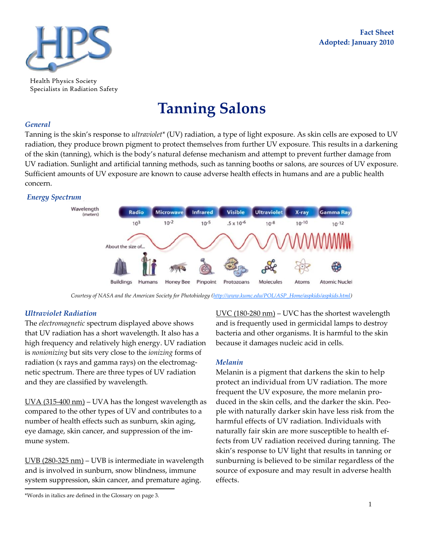

Health Physics Society Specialists in Radiation Safety

# **Tanning Salons**

## *General*

Tanning is the skin's response to *ultraviolet\** (UV) radiation, a type of light exposure. As skin cells are exposed to UV radiation, they produce brown pigment to protect themselves from further UV exposure. This results in a darkening of the skin (tanning), which is the body's natural defense mechanism and attempt to prevent further damage from UV radiation. Sunlight and artificial tanning methods, such as tanning booths or salons, are sources of UV exposure. Sufficient amounts of UV exposure are known to cause adverse health effects in humans and are a public health concern.

## *Energy Spectrum*



*Courtesy of NASA and the American Society for Photobiology [\(http://www.kumc.edu/POL/ASP\\_Home/aspkids/aspkids.html\)](http://www.kumc.edu/POL/ASP_Home/aspkids/aspkids.html)*

## *Ultraviolet Radiation*

The *electromagnetic* spectrum displayed above shows that UV radiation has a short wavelength. It also has a high frequency and relatively high energy. UV radiation is *nonionizing* but sits very close to the *ionizing* forms of radiation (x rays and gamma rays) on the electromagnetic spectrum. There are three types of UV radiation and they are classified by wavelength.

 $\underline{UVA}$  (315-400 nm) – UVA has the longest wavelength as compared to the other types of UV and contributes to a number of health effects such as sunburn, skin aging, eye damage, skin cancer, and suppression of the immune system.

UVB (280-325 nm) – UVB is intermediate in wavelength and is involved in sunburn, snow blindness, immune system suppression, skin cancer, and premature aging.

\*Words in italics are defined in the Glossary on page 3.

UVC (180-280 nm) – UVC has the shortest wavelength and is frequently used in germicidal lamps to destroy bacteria and other organisms. It is harmful to the skin because it damages nucleic acid in cells.

## *Melanin*

Melanin is a pigment that darkens the skin to help protect an individual from UV radiation. The more frequent the UV exposure, the more melanin produced in the skin cells, and the darker the skin. People with naturally darker skin have less risk from the harmful effects of UV radiation. Individuals with naturally fair skin are more susceptible to health effects from UV radiation received during tanning. The skin's response to UV light that results in tanning or sunburning is believed to be similar regardless of the source of exposure and may result in adverse health effects.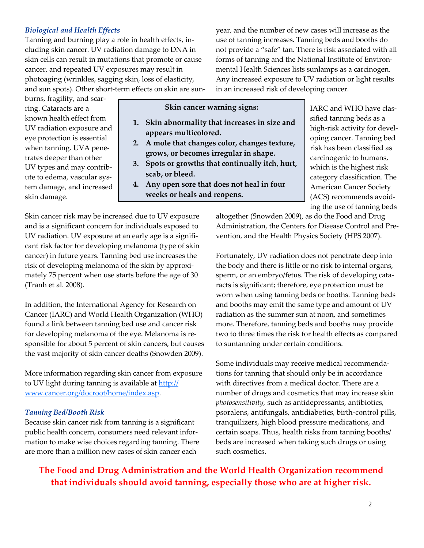# *Biological and Health Effects*

Tanning and burning play a role in health effects, including skin cancer. UV radiation damage to DNA in skin cells can result in mutations that promote or cause cancer, and repeated UV exposures may result in photoaging (wrinkles, sagging skin, loss of elasticity, and sun spots). Other short-term effects on skin are sun-

burns, fragility, and scarring. Cataracts are a known health effect from UV radiation exposure and eye protection is essential when tanning. UVA penetrates deeper than other UV types and may contribute to edema, vascular system damage, and increased skin damage.

year, and the number of new cases will increase as the use of tanning increases. Tanning beds and booths do not provide a "safe" tan. There is risk associated with all forms of tanning and the National Institute of Environmental Health Sciences lists sunlamps as a carcinogen. Any increased exposure to UV radiation or light results in an increased risk of developing cancer.

**Skin cancer warning signs:**

- **1. Skin abnormality that increases in size and appears multicolored.**
- **2. A mole that changes color, changes texture, grows, or becomes irregular in shape.**
- **3. Spots or growths that continually itch, hurt, scab, or bleed.**
- **4. Any open sore that does not heal in four weeks or heals and reopens.**

IARC and WHO have classified tanning beds as a high-risk activity for developing cancer. Tanning bed risk has been classified as carcinogenic to humans, which is the highest risk category classification. The American Cancer Society (ACS) recommends avoiding the use of tanning beds

Skin cancer risk may be increased due to UV exposure and is a significant concern for individuals exposed to UV radiation. UV exposure at an early age is a significant risk factor for developing melanoma (type of skin cancer) in future years. Tanning bed use increases the risk of developing melanoma of the skin by approximately 75 percent when use starts before the age of 30 (Tranh et al. 2008).

In addition, the International Agency for Research on Cancer (IARC) and World Health Organization (WHO) found a link between tanning bed use and cancer risk for developing melanoma of the eye. Melanoma is responsible for about 5 percent of skin cancers, but causes the vast majority of skin cancer deaths (Snowden 2009).

More information regarding skin cancer from exposure to UV light during tanning is available at [http://](http://www.cancer.org/docroot/home/index.asp) [www.cancer.org/docroot/home/index.asp.](http://www.cancer.org/docroot/home/index.asp) 

## *Tanning Bed/Booth Risk*

Because skin cancer risk from tanning is a significant public health concern, consumers need relevant information to make wise choices regarding tanning. There are more than a million new cases of skin cancer each

altogether (Snowden 2009), as do the Food and Drug Administration, the Centers for Disease Control and Prevention, and the Health Physics Society (HPS 2007).

Fortunately, UV radiation does not penetrate deep into the body and there is little or no risk to internal organs, sperm, or an embryo/fetus. The risk of developing cataracts is significant; therefore, eye protection must be worn when using tanning beds or booths. Tanning beds and booths may emit the same type and amount of UV radiation as the summer sun at noon, and sometimes more. Therefore, tanning beds and booths may provide two to three times the risk for health effects as compared to suntanning under certain conditions.

Some individuals may receive medical recommendations for tanning that should only be in accordance with directives from a medical doctor. There are a number of drugs and cosmetics that may increase skin *photosensitivity,* such as antidepressants, antibiotics, psoralens, antifungals, antidiabetics, birth-control pills, tranquilizers, high blood pressure medications, and certain soaps. Thus, health risks from tanning booths/ beds are increased when taking such drugs or using such cosmetics.

**The Food and Drug Administration and the World Health Organization recommend that individuals should avoid tanning, especially those who are at higher risk.**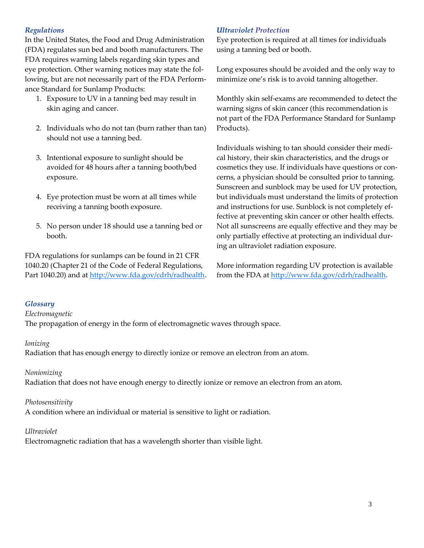# *Regulations*

In the United States, the Food and Drug Administration (FDA) regulates sun bed and booth manufacturers. The FDA requires warning labels regarding skin types and eye protection. Other warning notices may state the following, but are not necessarily part of the FDA Performance Standard for Sunlamp Products:

- 1. Exposure to UV in a tanning bed may result in skin aging and cancer.
- 2. Individuals who do not tan (burn rather than tan) should not use a tanning bed.
- 3. Intentional exposure to sunlight should be avoided for 48 hours after a tanning booth/bed exposure.
- 4. Eye protection must be worn at all times while receiving a tanning booth exposure.
- 5. No person under 18 should use a tanning bed or booth.

FDA regulations for sunlamps can be found in 21 CFR 1040.20 (Chapter 21 of the Code of Federal Regulations, Part 1040.20) and at [http://www.fda.gov/cdrh/radhealth.](http://www.fda.gov/cdrh/radhealth)

# *Ultraviolet Protection*

Eye protection is required at all times for individuals using a tanning bed or booth.

Long exposures should be avoided and the only way to minimize one's risk is to avoid tanning altogether.

Monthly skin self-exams are recommended to detect the warning signs of skin cancer (this recommendation is not part of the FDA Performance Standard for Sunlamp Products).

Individuals wishing to tan should consider their medical history, their skin characteristics, and the drugs or cosmetics they use. If individuals have questions or concerns, a physician should be consulted prior to tanning. Sunscreen and sunblock may be used for UV protection, but individuals must understand the limits of protection and instructions for use. Sunblock is not completely effective at preventing skin cancer or other health effects. Not all sunscreens are equally effective and they may be only partially effective at protecting an individual during an ultraviolet radiation exposure.

More information regarding UV protection is available from the FDA at http://www.fda.gov/cdrh/radhealth.

## *Glossary*

*Electromagnetic* 

The propagation of energy in the form of electromagnetic waves through space.

## *Ionizing*

Radiation that has enough energy to directly ionize or remove an electron from an atom.

## *Nonionizing*

Radiation that does not have enough energy to directly ionize or remove an electron from an atom.

## *Photosensitivity*

A condition where an individual or material is sensitive to light or radiation.

## *Ultraviolet*

Electromagnetic radiation that has a wavelength shorter than visible light.